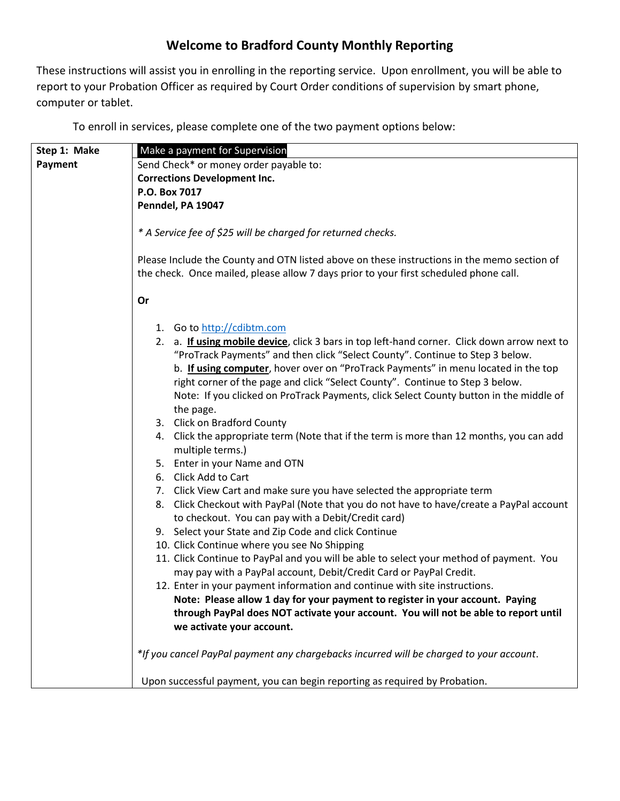## **Welcome to Bradford County Monthly Reporting**

These instructions will assist you in enrolling in the reporting service. Upon enrollment, you will be able to report to your Probation Officer as required by Court Order conditions of supervision by smart phone, computer or tablet.

To enroll in services, please complete one of the two payment options below:

| Step 1: Make | Make a payment for Supervision                                                               |
|--------------|----------------------------------------------------------------------------------------------|
| Payment      | Send Check* or money order payable to:                                                       |
|              | <b>Corrections Development Inc.</b>                                                          |
|              | P.O. Box 7017                                                                                |
|              | Penndel, PA 19047                                                                            |
|              |                                                                                              |
|              | * A Service fee of \$25 will be charged for returned checks.                                 |
|              |                                                                                              |
|              | Please Include the County and OTN listed above on these instructions in the memo section of  |
|              | the check. Once mailed, please allow 7 days prior to your first scheduled phone call.        |
|              | Or                                                                                           |
|              |                                                                                              |
|              | 1. Go to http://cdibtm.com                                                                   |
|              | 2. a. If using mobile device, click 3 bars in top left-hand corner. Click down arrow next to |
|              | "ProTrack Payments" and then click "Select County". Continue to Step 3 below.                |
|              | b. If using computer, hover over on "ProTrack Payments" in menu located in the top           |
|              | right corner of the page and click "Select County". Continue to Step 3 below.                |
|              | Note: If you clicked on ProTrack Payments, click Select County button in the middle of       |
|              | the page.                                                                                    |
|              | 3. Click on Bradford County                                                                  |
|              | 4. Click the appropriate term (Note that if the term is more than 12 months, you can add     |
|              | multiple terms.)                                                                             |
|              | 5. Enter in your Name and OTN                                                                |
|              | 6. Click Add to Cart                                                                         |
|              | 7. Click View Cart and make sure you have selected the appropriate term                      |
|              | 8. Click Checkout with PayPal (Note that you do not have to have/create a PayPal account     |
|              | to checkout. You can pay with a Debit/Credit card)                                           |
|              | 9. Select your State and Zip Code and click Continue                                         |
|              | 10. Click Continue where you see No Shipping                                                 |
|              | 11. Click Continue to PayPal and you will be able to select your method of payment. You      |
|              | may pay with a PayPal account, Debit/Credit Card or PayPal Credit.                           |
|              | 12. Enter in your payment information and continue with site instructions.                   |
|              | Note: Please allow 1 day for your payment to register in your account. Paying                |
|              | through PayPal does NOT activate your account. You will not be able to report until          |
|              | we activate your account.                                                                    |
|              |                                                                                              |
|              | *If you cancel PayPal payment any chargebacks incurred will be charged to your account.      |
|              |                                                                                              |
|              | Upon successful payment, you can begin reporting as required by Probation.                   |